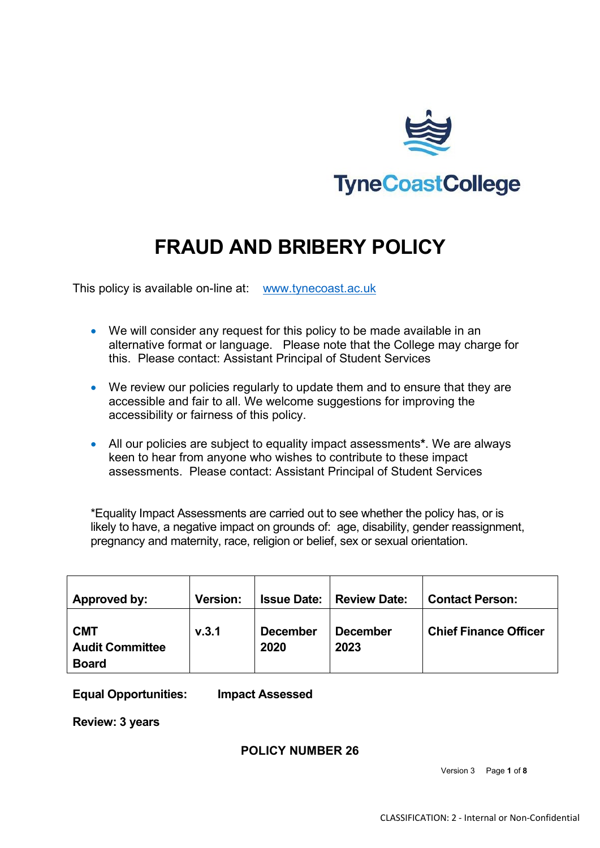

# **FRAUD AND BRIBERY POLICY**

This policy is available on-line at: [www.tynecoast.ac.uk](http://www.tynecoast.ac.uk/)

- We will consider any request for this policy to be made available in an alternative format or language. Please note that the College may charge for this. Please contact: Assistant Principal of Student Services
- We review our policies regularly to update them and to ensure that they are accessible and fair to all. We welcome suggestions for improving the accessibility or fairness of this policy.
- All our policies are subject to equality impact assessments**\***. We are always keen to hear from anyone who wishes to contribute to these impact assessments. Please contact: Assistant Principal of Student Services

\*Equality Impact Assessments are carried out to see whether the policy has, or is likely to have, a negative impact on grounds of: age, disability, gender reassignment, pregnancy and maternity, race, religion or belief, sex or sexual orientation.

| Approved by:                                         | Version: | <b>Issue Date:</b> I    | Review Date:            | <b>Contact Person:</b>       |
|------------------------------------------------------|----------|-------------------------|-------------------------|------------------------------|
| <b>CMT</b><br><b>Audit Committee</b><br><b>Board</b> | V.3.1    | <b>December</b><br>2020 | <b>December</b><br>2023 | <b>Chief Finance Officer</b> |

**Equal Opportunities: Impact Assessed**

**Review: 3 years**

**POLICY NUMBER 26**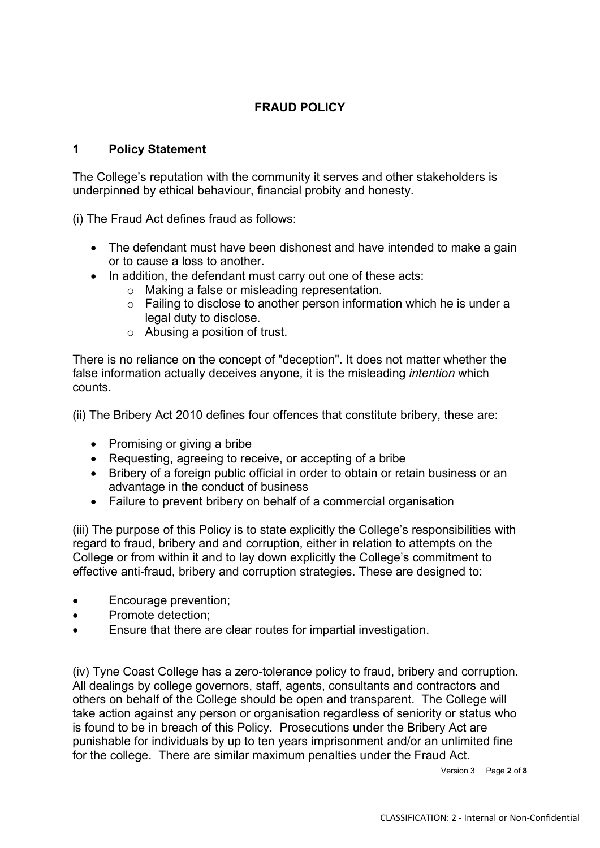# **FRAUD POLICY**

## **1 Policy Statement**

The College's reputation with the community it serves and other stakeholders is underpinned by ethical behaviour, financial probity and honesty.

(i) The Fraud Act defines fraud as follows:

- The defendant must have been dishonest and have intended to make a gain or to cause a loss to another.
- In addition, the defendant must carry out one of these acts:
	- o Making a false or misleading representation.
	- o Failing to disclose to another person information which he is under a legal duty to disclose.
	- o Abusing a position of trust.

There is no reliance on the concept of "deception". It does not matter whether the false information actually deceives anyone, it is the misleading *intention* which counts.

(ii) The Bribery Act 2010 defines four offences that constitute bribery, these are:

- Promising or giving a bribe
- Requesting, agreeing to receive, or accepting of a bribe
- Bribery of a foreign public official in order to obtain or retain business or an advantage in the conduct of business
- Failure to prevent bribery on behalf of a commercial organisation

(iii) The purpose of this Policy is to state explicitly the College's responsibilities with regard to fraud, bribery and and corruption, either in relation to attempts on the College or from within it and to lay down explicitly the College's commitment to effective anti-fraud, bribery and corruption strategies. These are designed to:

- Encourage prevention;
- Promote detection;
- Ensure that there are clear routes for impartial investigation.

(iv) Tyne Coast College has a zero‐tolerance policy to fraud, bribery and corruption. All dealings by college governors, staff, agents, consultants and contractors and others on behalf of the College should be open and transparent. The College will take action against any person or organisation regardless of seniority or status who is found to be in breach of this Policy. Prosecutions under the Bribery Act are punishable for individuals by up to ten years imprisonment and/or an unlimited fine for the college. There are similar maximum penalties under the Fraud Act.

Version 3 Page **2** of **8**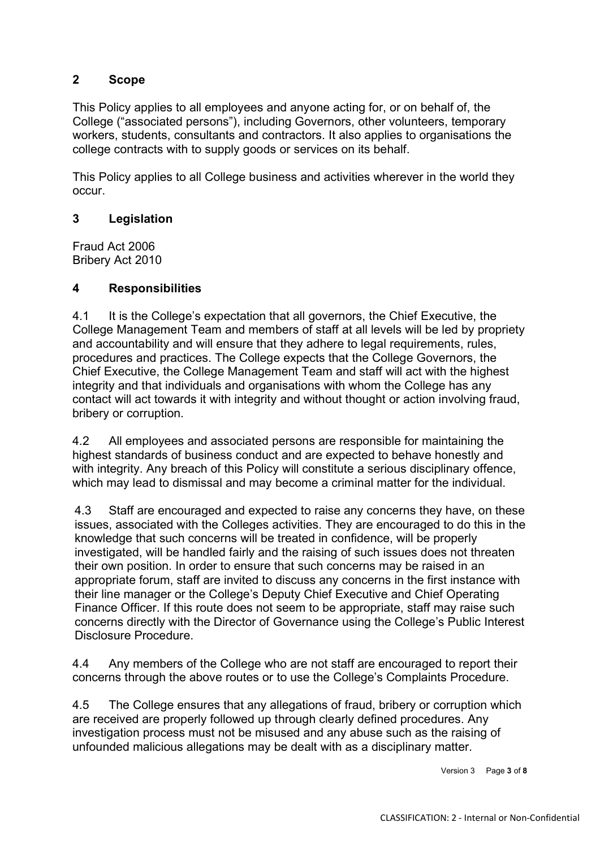## **2 Scope**

This Policy applies to all employees and anyone acting for, or on behalf of, the College ("associated persons"), including Governors, other volunteers, temporary workers, students, consultants and contractors. It also applies to organisations the college contracts with to supply goods or services on its behalf.

This Policy applies to all College business and activities wherever in the world they occur.

## **3 Legislation**

Fraud Act 2006 Bribery Act 2010

#### **4 Responsibilities**

4.1 It is the College's expectation that all governors, the Chief Executive, the College Management Team and members of staff at all levels will be led by propriety and accountability and will ensure that they adhere to legal requirements, rules, procedures and practices. The College expects that the College Governors, the Chief Executive, the College Management Team and staff will act with the highest integrity and that individuals and organisations with whom the College has any contact will act towards it with integrity and without thought or action involving fraud, bribery or corruption.

4.2 All employees and associated persons are responsible for maintaining the highest standards of business conduct and are expected to behave honestly and with integrity. Any breach of this Policy will constitute a serious disciplinary offence, which may lead to dismissal and may become a criminal matter for the individual.

4.3 Staff are encouraged and expected to raise any concerns they have, on these issues, associated with the Colleges activities. They are encouraged to do this in the knowledge that such concerns will be treated in confidence, will be properly investigated, will be handled fairly and the raising of such issues does not threaten their own position. In order to ensure that such concerns may be raised in an appropriate forum, staff are invited to discuss any concerns in the first instance with their line manager or the College's Deputy Chief Executive and Chief Operating Finance Officer. If this route does not seem to be appropriate, staff may raise such concerns directly with the Director of Governance using the College's Public Interest Disclosure Procedure.

4.4 Any members of the College who are not staff are encouraged to report their concerns through the above routes or to use the College's Complaints Procedure.

4.5 The College ensures that any allegations of fraud, bribery or corruption which are received are properly followed up through clearly defined procedures. Any investigation process must not be misused and any abuse such as the raising of unfounded malicious allegations may be dealt with as a disciplinary matter.

Version 3 Page **3** of **8**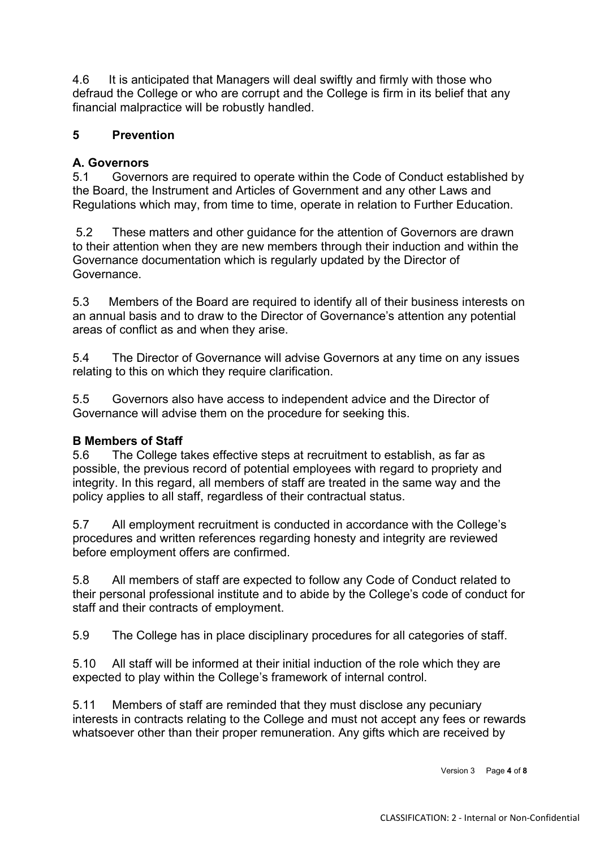4.6 It is anticipated that Managers will deal swiftly and firmly with those who defraud the College or who are corrupt and the College is firm in its belief that any financial malpractice will be robustly handled.

## **5 Prevention**

#### **A. Governors**

5.1 Governors are required to operate within the Code of Conduct established by the Board, the Instrument and Articles of Government and any other Laws and Regulations which may, from time to time, operate in relation to Further Education.

5.2 These matters and other guidance for the attention of Governors are drawn to their attention when they are new members through their induction and within the Governance documentation which is regularly updated by the Director of Governance.

5.3 Members of the Board are required to identify all of their business interests on an annual basis and to draw to the Director of Governance's attention any potential areas of conflict as and when they arise.

5.4 The Director of Governance will advise Governors at any time on any issues relating to this on which they require clarification.

5.5 Governors also have access to independent advice and the Director of Governance will advise them on the procedure for seeking this.

#### **B Members of Staff**

5.6 The College takes effective steps at recruitment to establish, as far as possible, the previous record of potential employees with regard to propriety and integrity. In this regard, all members of staff are treated in the same way and the policy applies to all staff, regardless of their contractual status.

5.7 All employment recruitment is conducted in accordance with the College's procedures and written references regarding honesty and integrity are reviewed before employment offers are confirmed.

5.8 All members of staff are expected to follow any Code of Conduct related to their personal professional institute and to abide by the College's code of conduct for staff and their contracts of employment.

5.9 The College has in place disciplinary procedures for all categories of staff.

5.10 All staff will be informed at their initial induction of the role which they are expected to play within the College's framework of internal control.

5.11 Members of staff are reminded that they must disclose any pecuniary interests in contracts relating to the College and must not accept any fees or rewards whatsoever other than their proper remuneration. Any gifts which are received by

Version 3 Page **4** of **8**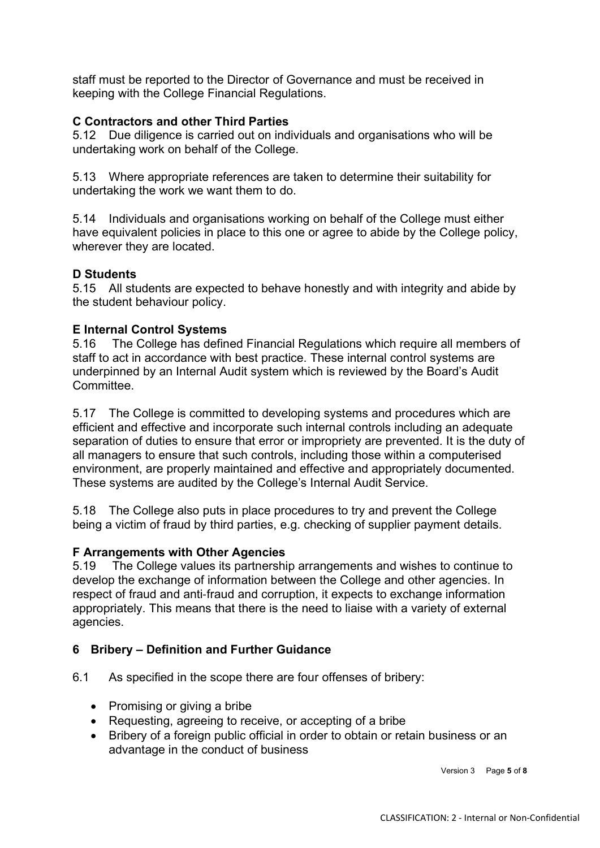staff must be reported to the Director of Governance and must be received in keeping with the College Financial Regulations.

## **C Contractors and other Third Parties**

5.12 Due diligence is carried out on individuals and organisations who will be undertaking work on behalf of the College.

5.13 Where appropriate references are taken to determine their suitability for undertaking the work we want them to do.

5.14 Individuals and organisations working on behalf of the College must either have equivalent policies in place to this one or agree to abide by the College policy, wherever they are located.

#### **D Students**

5.15 All students are expected to behave honestly and with integrity and abide by the student behaviour policy.

#### **E Internal Control Systems**

5.16 The College has defined Financial Regulations which require all members of staff to act in accordance with best practice. These internal control systems are underpinned by an Internal Audit system which is reviewed by the Board's Audit Committee.

5.17 The College is committed to developing systems and procedures which are efficient and effective and incorporate such internal controls including an adequate separation of duties to ensure that error or impropriety are prevented. It is the duty of all managers to ensure that such controls, including those within a computerised environment, are properly maintained and effective and appropriately documented. These systems are audited by the College's Internal Audit Service.

5.18 The College also puts in place procedures to try and prevent the College being a victim of fraud by third parties, e.g. checking of supplier payment details.

#### **F Arrangements with Other Agencies**

5.19 The College values its partnership arrangements and wishes to continue to develop the exchange of information between the College and other agencies. In respect of fraud and anti‐fraud and corruption, it expects to exchange information appropriately. This means that there is the need to liaise with a variety of external agencies.

#### **6 Bribery – Definition and Further Guidance**

6.1 As specified in the scope there are four offenses of bribery:

- Promising or giving a bribe
- Requesting, agreeing to receive, or accepting of a bribe
- Bribery of a foreign public official in order to obtain or retain business or an advantage in the conduct of business

Version 3 Page **5** of **8**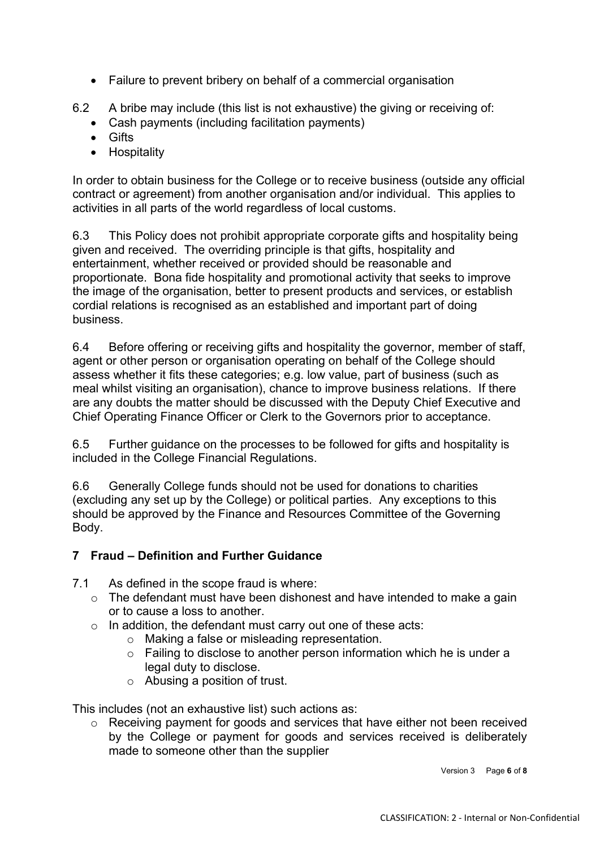• Failure to prevent bribery on behalf of a commercial organisation

6.2 A bribe may include (this list is not exhaustive) the giving or receiving of:

- Cash payments (including facilitation payments)
- Gifts
- Hospitality

In order to obtain business for the College or to receive business (outside any official contract or agreement) from another organisation and/or individual. This applies to activities in all parts of the world regardless of local customs.

6.3 This Policy does not prohibit appropriate corporate gifts and hospitality being given and received. The overriding principle is that gifts, hospitality and entertainment, whether received or provided should be reasonable and proportionate. Bona fide hospitality and promotional activity that seeks to improve the image of the organisation, better to present products and services, or establish cordial relations is recognised as an established and important part of doing business.

6.4 Before offering or receiving gifts and hospitality the governor, member of staff, agent or other person or organisation operating on behalf of the College should assess whether it fits these categories; e.g. low value, part of business (such as meal whilst visiting an organisation), chance to improve business relations. If there are any doubts the matter should be discussed with the Deputy Chief Executive and Chief Operating Finance Officer or Clerk to the Governors prior to acceptance.

6.5 Further guidance on the processes to be followed for gifts and hospitality is included in the College Financial Regulations.

6.6 Generally College funds should not be used for donations to charities (excluding any set up by the College) or political parties. Any exceptions to this should be approved by the Finance and Resources Committee of the Governing Body.

## **7 Fraud – Definition and Further Guidance**

- 7.1 As defined in the scope fraud is where:
	- $\circ$  The defendant must have been dishonest and have intended to make a gain or to cause a loss to another.
	- o In addition, the defendant must carry out one of these acts:
		- o Making a false or misleading representation.
		- o Failing to disclose to another person information which he is under a legal duty to disclose.
		- o Abusing a position of trust.

This includes (not an exhaustive list) such actions as:

o Receiving payment for goods and services that have either not been received by the College or payment for goods and services received is deliberately made to someone other than the supplier

Version 3 Page **6** of **8**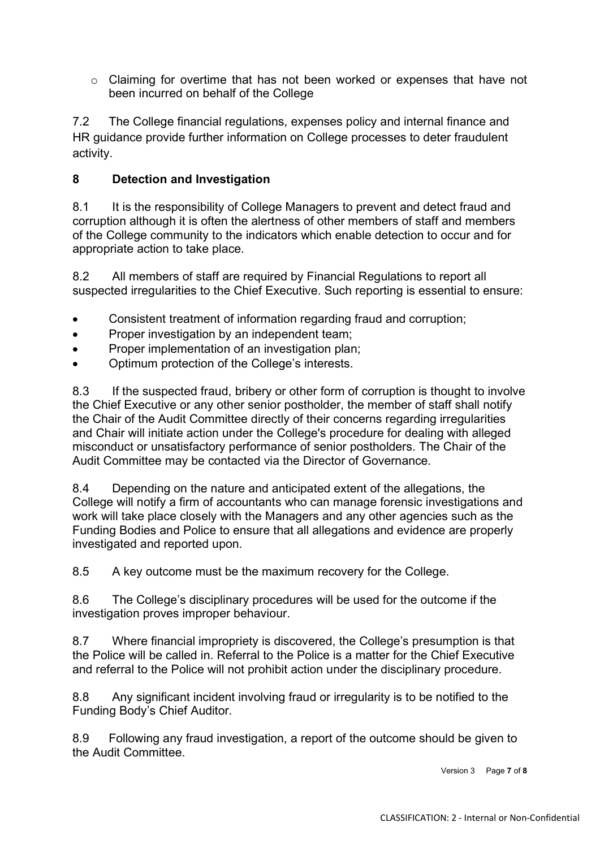o Claiming for overtime that has not been worked or expenses that have not been incurred on behalf of the College

7.2 The College financial regulations, expenses policy and internal finance and HR guidance provide further information on College processes to deter fraudulent activity.

## **8 Detection and Investigation**

8.1 It is the responsibility of College Managers to prevent and detect fraud and corruption although it is often the alertness of other members of staff and members of the College community to the indicators which enable detection to occur and for appropriate action to take place.

8.2 All members of staff are required by Financial Regulations to report all suspected irregularities to the Chief Executive. Such reporting is essential to ensure:

- Consistent treatment of information regarding fraud and corruption;
- Proper investigation by an independent team;
- Proper implementation of an investigation plan;
- Optimum protection of the College's interests.

8.3 If the suspected fraud, bribery or other form of corruption is thought to involve the Chief Executive or any other senior postholder, the member of staff shall notify the Chair of the Audit Committee directly of their concerns regarding irregularities and Chair will initiate action under the College's procedure for dealing with alleged misconduct or unsatisfactory performance of senior postholders. The Chair of the Audit Committee may be contacted via the Director of Governance.

8.4 Depending on the nature and anticipated extent of the allegations, the College will notify a firm of accountants who can manage forensic investigations and work will take place closely with the Managers and any other agencies such as the Funding Bodies and Police to ensure that all allegations and evidence are properly investigated and reported upon.

8.5 A key outcome must be the maximum recovery for the College.

8.6 The College's disciplinary procedures will be used for the outcome if the investigation proves improper behaviour.

8.7 Where financial impropriety is discovered, the College's presumption is that the Police will be called in. Referral to the Police is a matter for the Chief Executive and referral to the Police will not prohibit action under the disciplinary procedure.

8.8 Any significant incident involving fraud or irregularity is to be notified to the Funding Body's Chief Auditor.

8.9 Following any fraud investigation, a report of the outcome should be given to the Audit Committee.

Version 3 Page **7** of **8**